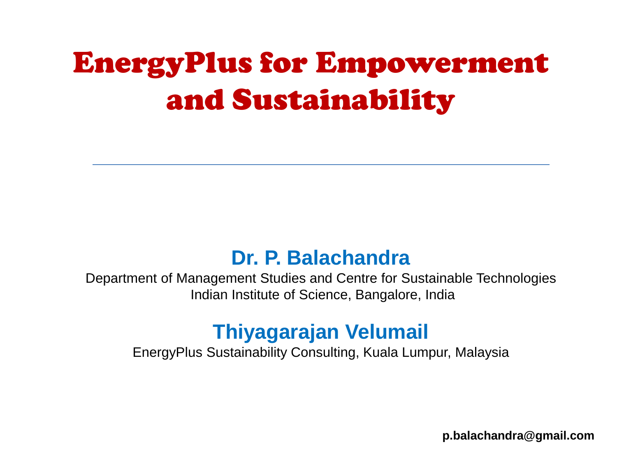# EnergyPlus for Empowerment and Sustainability

#### **Dr. P. Balachandra**

Department of Management Studies and Centre for Sustainable Technologies Indian Institute of Science, Bangalore, India

#### **Thiyagarajan Velumail**

EnergyPlus Sustainability Consulting, Kuala Lumpur, Malaysia

**p.balachandra@gmail.com**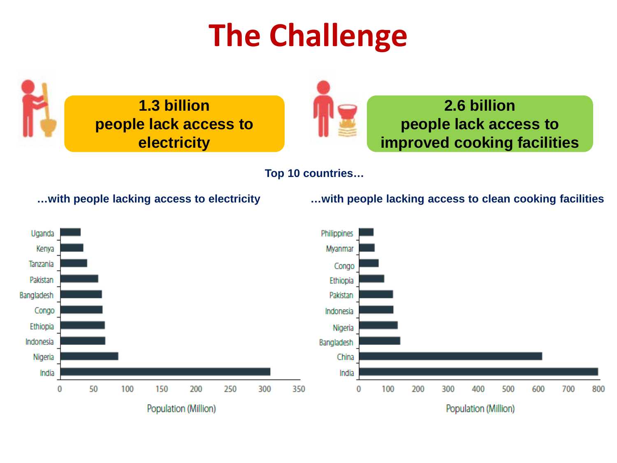# **The Challenge**





#### **2.6 billion people lack access to improved cooking facilities**

**Top 10 countries…**

**…with people lacking access to electricity …with people lacking access to clean cooking facilities**

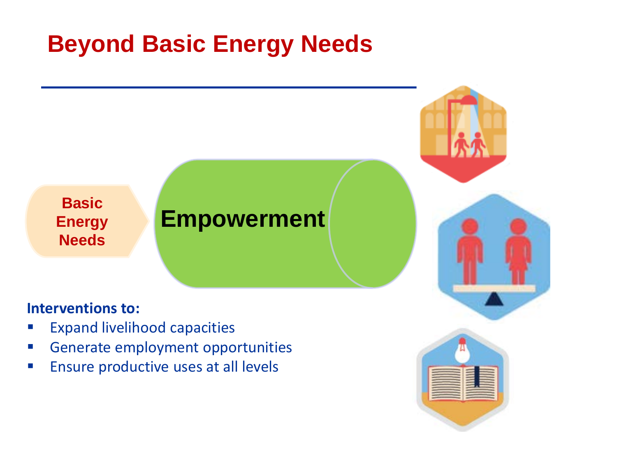### **Beyond Basic Energy Needs**



#### **Interventions to:**

- **Expand livelihood capacities**
- **Generate employment opportunities**
- **Ensure productive uses at all levels**

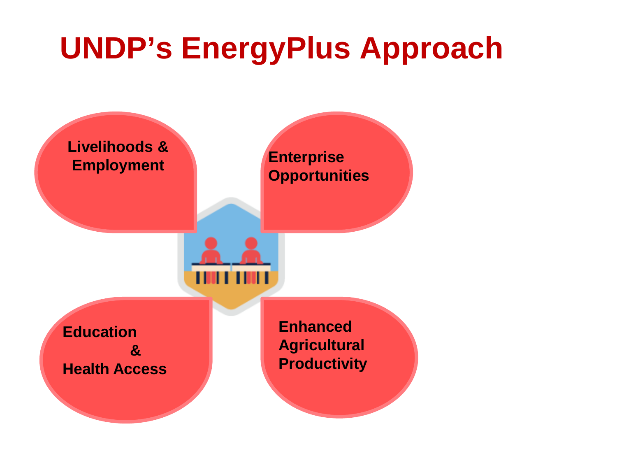# **UNDP's EnergyPlus Approach**

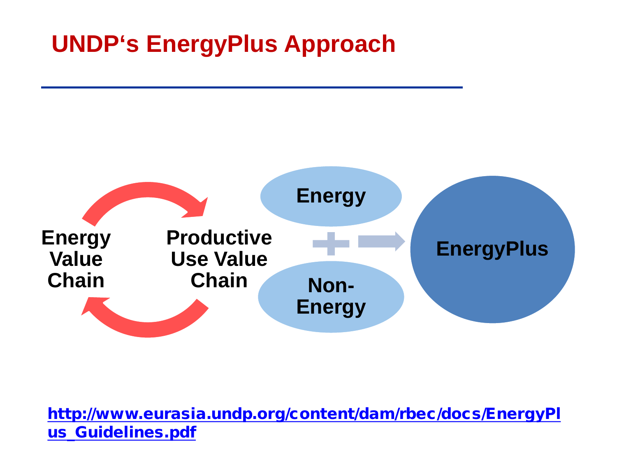### **UNDP's EnergyPlus Approach**



[http://www.eurasia.undp.org/content/dam/rbec/docs/EnergyPl](http://www.eurasia.undp.org/content/dam/rbec/docs/EnergyPlus_Guidelines.pdf) [us\\_Guidelines.pdf](http://www.eurasia.undp.org/content/dam/rbec/docs/EnergyPlus_Guidelines.pdf)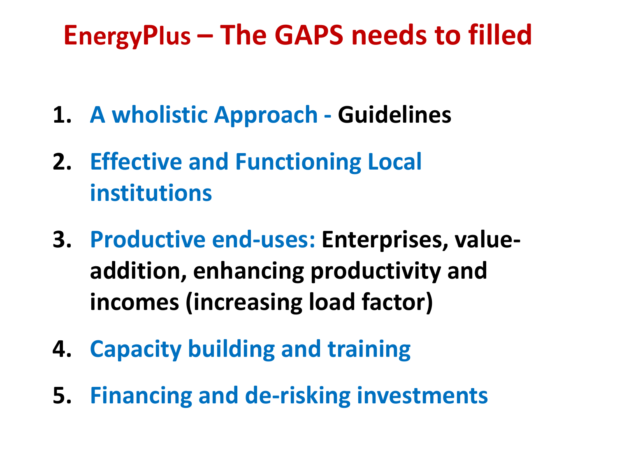# **EnergyPlus – The GAPS needs to filled**

- **1. A wholistic Approach - Guidelines**
- **2. Effective and Functioning Local institutions**
- **3. Productive end-uses: Enterprises, valueaddition, enhancing productivity and incomes (increasing load factor)**
- **4. Capacity building and training**
- **5. Financing and de-risking investments**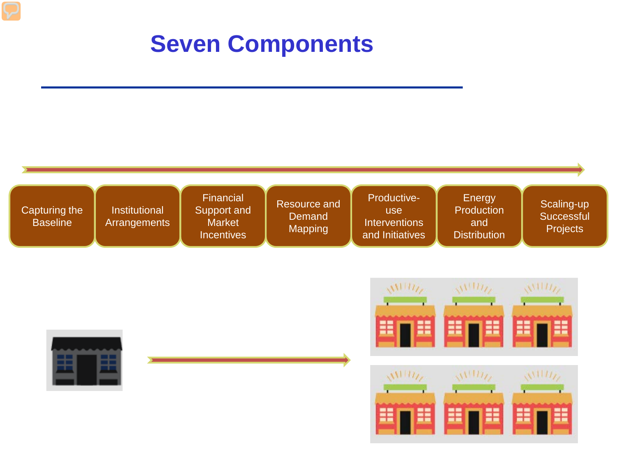### **Seven Components**







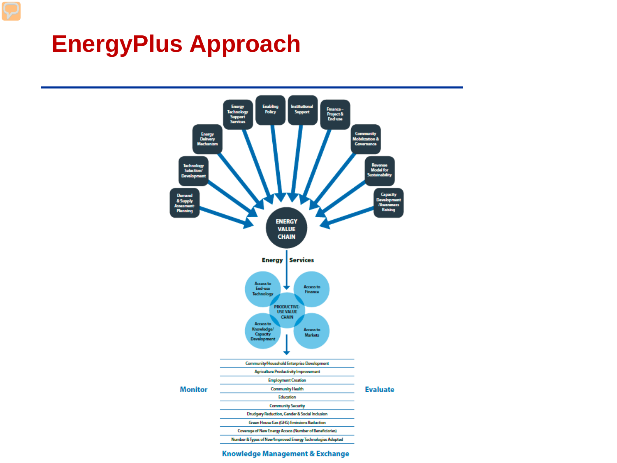### **EnergyPlus Approach**



Knowledge Management & Exchange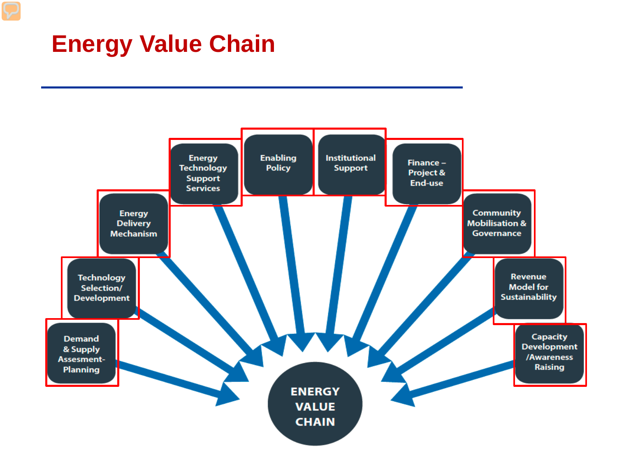### **Energy Value Chain**

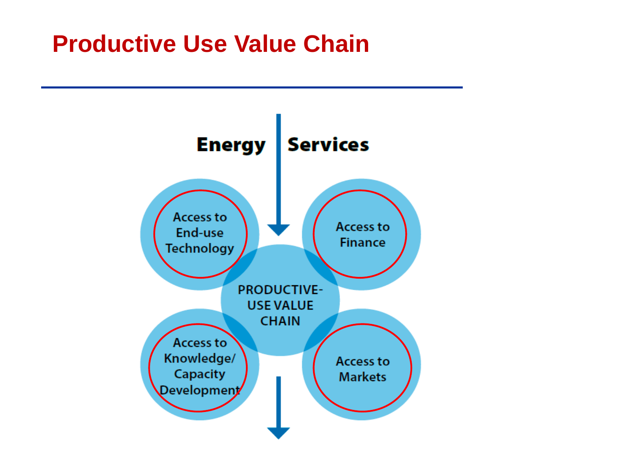#### **Productive Use Value Chain**

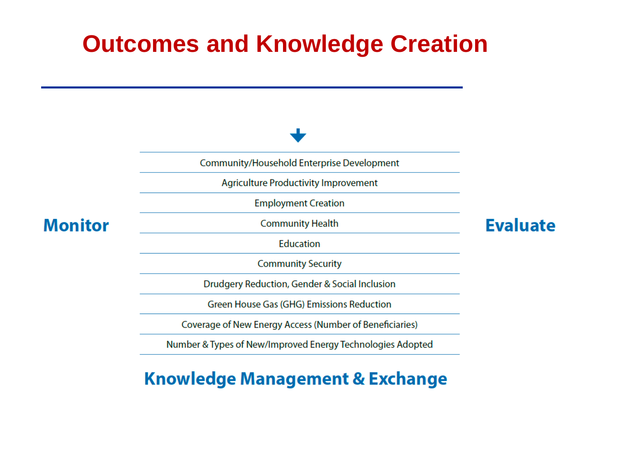### **Outcomes and Knowledge Creation**



#### **Knowledge Management & Exchange**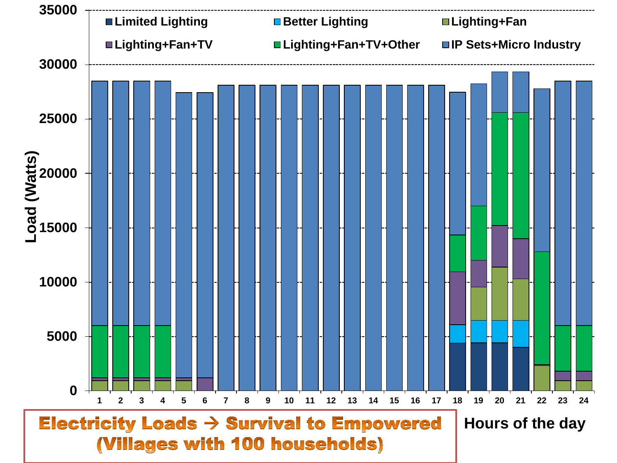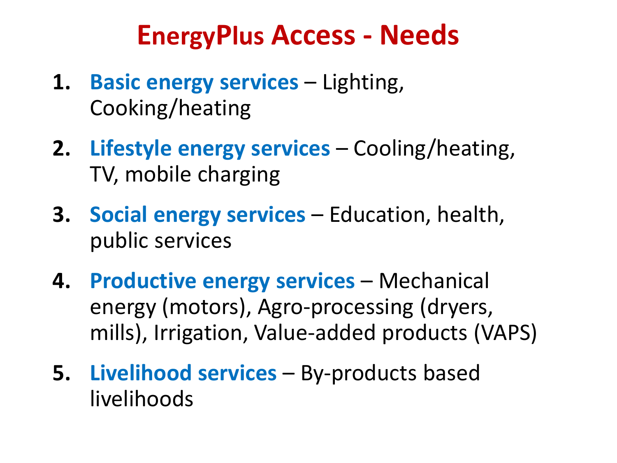## **EnergyPlus Access - Needs**

- 1. **Basic energy services** Lighting, Cooking/heating
- **2. Lifestyle energy services** Cooling/heating, TV, mobile charging
- **3. Social energy services** Education, health, public services
- **4. Productive energy services** Mechanical energy (motors), Agro-processing (dryers, mills), Irrigation, Value-added products (VAPS)
- **5. Livelihood services** By-products based livelihoods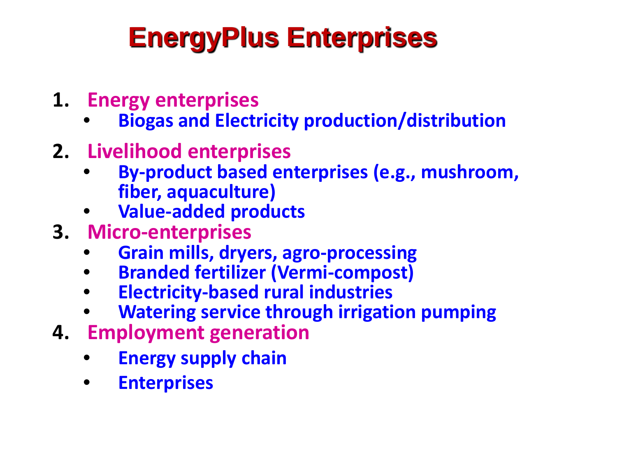# **EnergyPlus Enterprises**

- **1. Energy enterprises**
	- **Biogas and Electricity production/distribution**
- **2. Livelihood enterprises**
	- **By-product based enterprises (e.g., mushroom, fiber, aquaculture)**
	- **Value-added products**
- **3. Micro-enterprises**
	- **Grain mills, dryers, agro-processing**
	- **Branded fertilizer (Vermi-compost)**
	- **Electricity-based rural industries**
	- **Watering service through irrigation pumping**
- **4. Employment generation**
	- **Energy supply chain**
	- **Enterprises**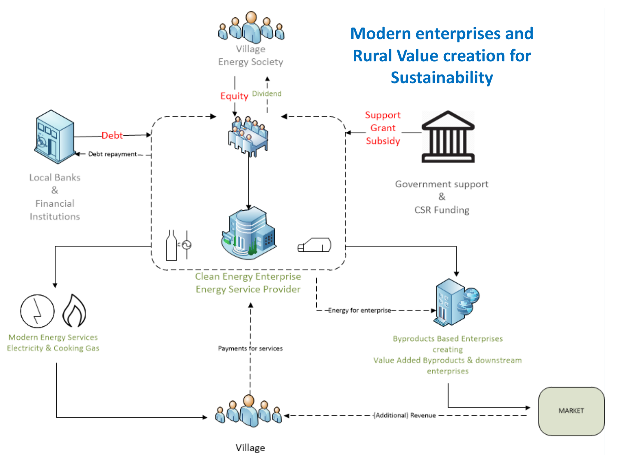

Village